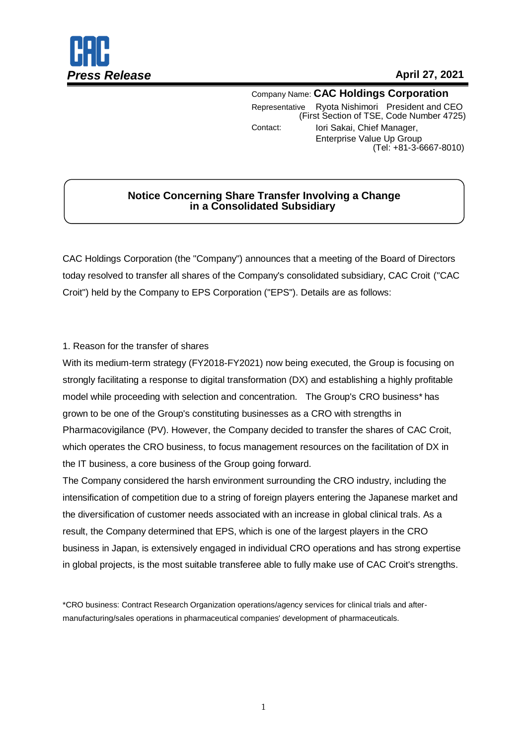

Company Name: **CAC Holdings Corporation** Representative Ryota Nishimori President and CEO (First Section of TSE, Code Number 4725) Contact: Iori Sakai, Chief Manager, Enterprise Value Up Group (Tel: +81-3-6667-8010)

# **Notice Concerning Share Transfer Involving a Change in a Consolidated Subsidiary**

CAC Holdings Corporation (the "Company") announces that a meeting of the Board of Directors today resolved to transfer all shares of the Company's consolidated subsidiary, CAC Croit ("CAC Croit") held by the Company to EPS Corporation ("EPS"). Details are as follows:

## 1. Reason for the transfer of shares

With its medium-term strategy (FY2018-FY2021) now being executed, the Group is focusing on strongly facilitating a response to digital transformation (DX) and establishing a highly profitable model while proceeding with selection and concentration. The Group's CRO business\* has grown to be one of the Group's constituting businesses as a CRO with strengths in Pharmacovigilance (PV). However, the Company decided to transfer the shares of CAC Croit, which operates the CRO business, to focus management resources on the facilitation of DX in the IT business, a core business of the Group going forward.

The Company considered the harsh environment surrounding the CRO industry, including the intensification of competition due to a string of foreign players entering the Japanese market and the diversification of customer needs associated with an increase in global clinical trals. As a result, the Company determined that EPS, which is one of the largest players in the CRO business in Japan, is extensively engaged in individual CRO operations and has strong expertise in global projects, is the most suitable transferee able to fully make use of CAC Croit's strengths.

\*CRO business: Contract Research Organization operations/agency services for clinical trials and aftermanufacturing/sales operations in pharmaceutical companies' development of pharmaceuticals.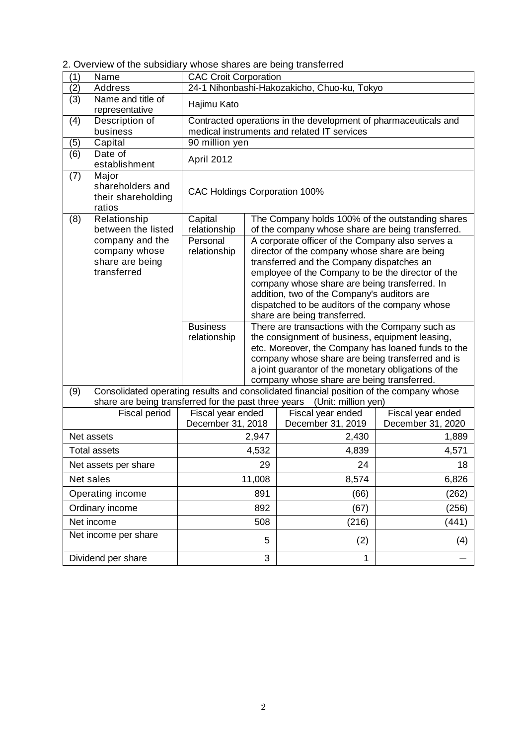| (1)                  | Name                                                               | <b>CAC Croit Corporation</b>                                                                                   |       |                                                                                                                                                                                                                                                                                                                                                                                       |                                        |  |
|----------------------|--------------------------------------------------------------------|----------------------------------------------------------------------------------------------------------------|-------|---------------------------------------------------------------------------------------------------------------------------------------------------------------------------------------------------------------------------------------------------------------------------------------------------------------------------------------------------------------------------------------|----------------------------------------|--|
| (2)                  | <b>Address</b>                                                     | 24-1 Nihonbashi-Hakozakicho, Chuo-ku, Tokyo                                                                    |       |                                                                                                                                                                                                                                                                                                                                                                                       |                                        |  |
| (3)                  | Name and title of<br>representative                                | Hajimu Kato                                                                                                    |       |                                                                                                                                                                                                                                                                                                                                                                                       |                                        |  |
| (4)                  | Description of<br>business                                         | Contracted operations in the development of pharmaceuticals and<br>medical instruments and related IT services |       |                                                                                                                                                                                                                                                                                                                                                                                       |                                        |  |
| (5)                  | Capital                                                            | 90 million yen                                                                                                 |       |                                                                                                                                                                                                                                                                                                                                                                                       |                                        |  |
| (6)                  | Date of<br>establishment                                           | April 2012                                                                                                     |       |                                                                                                                                                                                                                                                                                                                                                                                       |                                        |  |
| (7)                  | Major<br>shareholders and<br>their shareholding<br>ratios          | <b>CAC Holdings Corporation 100%</b>                                                                           |       |                                                                                                                                                                                                                                                                                                                                                                                       |                                        |  |
| (8)                  | Relationship<br>between the listed                                 | Capital<br>relationship                                                                                        |       | The Company holds 100% of the outstanding shares<br>of the company whose share are being transferred.                                                                                                                                                                                                                                                                                 |                                        |  |
|                      | company and the<br>company whose<br>share are being<br>transferred | Personal<br>relationship                                                                                       |       | A corporate officer of the Company also serves a<br>director of the company whose share are being<br>transferred and the Company dispatches an<br>employee of the Company to be the director of the<br>company whose share are being transferred. In<br>addition, two of the Company's auditors are<br>dispatched to be auditors of the company whose<br>share are being transferred. |                                        |  |
|                      |                                                                    | <b>Business</b><br>relationship                                                                                |       | There are transactions with the Company such as<br>the consignment of business, equipment leasing,<br>etc. Moreover, the Company has loaned funds to the<br>company whose share are being transferred and is<br>a joint guarantor of the monetary obligations of the<br>company whose share are being transferred.                                                                    |                                        |  |
| (9)                  |                                                                    |                                                                                                                |       | Consolidated operating results and consolidated financial position of the company whose<br>share are being transferred for the past three years (Unit: million yen)                                                                                                                                                                                                                   |                                        |  |
|                      | Fiscal period                                                      | Fiscal year ended<br>December 31, 2018                                                                         |       | Fiscal year ended<br>December 31, 2019                                                                                                                                                                                                                                                                                                                                                | Fiscal year ended<br>December 31, 2020 |  |
| Net assets           |                                                                    |                                                                                                                | 2,947 | 2,430                                                                                                                                                                                                                                                                                                                                                                                 | 1,889                                  |  |
|                      | <b>Total assets</b>                                                | 4,532                                                                                                          |       | 4,839                                                                                                                                                                                                                                                                                                                                                                                 | 4,571                                  |  |
| Net assets per share |                                                                    | 29                                                                                                             |       | 24                                                                                                                                                                                                                                                                                                                                                                                    | 18                                     |  |
| Net sales            |                                                                    | 11,008                                                                                                         |       | 8,574                                                                                                                                                                                                                                                                                                                                                                                 | 6,826                                  |  |
| Operating income     |                                                                    | 891                                                                                                            |       | (66)                                                                                                                                                                                                                                                                                                                                                                                  | (262)                                  |  |
| Ordinary income      |                                                                    | 892                                                                                                            |       | (67)                                                                                                                                                                                                                                                                                                                                                                                  | (256)                                  |  |
| Net income           |                                                                    | 508                                                                                                            |       | (216)                                                                                                                                                                                                                                                                                                                                                                                 | (441)                                  |  |
| Net income per share |                                                                    | 5                                                                                                              |       | (2)                                                                                                                                                                                                                                                                                                                                                                                   | (4)                                    |  |
| Dividend per share   |                                                                    | 3                                                                                                              |       | $\mathbf 1$                                                                                                                                                                                                                                                                                                                                                                           |                                        |  |

2. Overview of the subsidiary whose shares are being transferred